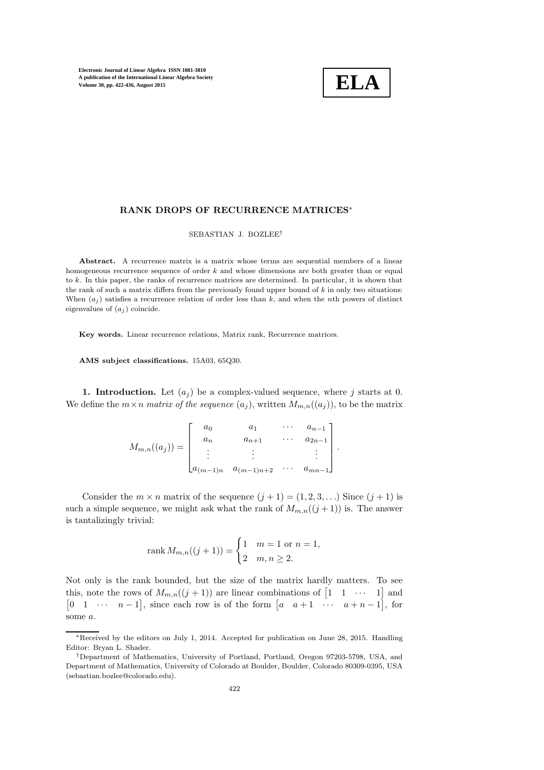

### RANK DROPS OF RECURRENCE MATRICES<sup>∗</sup>

SEBASTIAN J. BOZLEE†

Abstract. A recurrence matrix is a matrix whose terms are sequential members of a linear homogeneous recurrence sequence of order  $k$  and whose dimensions are both greater than or equal to k. In this paper, the ranks of recurrence matrices are determined. In particular, it is shown that the rank of such a matrix differs from the previously found upper bound of  $k$  in only two situations: When  $(a_i)$  satisfies a recurrence relation of order less than k, and when the nth powers of distinct eigenvalues of  $(a_i)$  coincide.

Key words. Linear recurrence relations, Matrix rank, Recurrence matrices.

AMS subject classifications. 15A03, 65Q30.

1. Introduction. Let  $(a_i)$  be a complex-valued sequence, where j starts at 0. We define the  $m \times n$  matrix of the sequence  $(a_j)$ , written  $M_{m,n}((a_j))$ , to be the matrix

| $M_{m,n}((a_j)) =$ | $a_0$                        |                |          | $a_{n-1}$ ]                      |  |
|--------------------|------------------------------|----------------|----------|----------------------------------|--|
|                    |                              | $a_{n+1}$      |          | $a_{2n-1}$                       |  |
|                    |                              |                |          | $\langle \updownarrow \rangle$ . |  |
|                    | $\lfloor a_{(m-1)n} \rfloor$ | $a_{(m-1)n+2}$ | $\cdots$ | $a_{mn-1}$                       |  |

Consider the  $m \times n$  matrix of the sequence  $(j + 1) = (1, 2, 3, ...)$  Since  $(j + 1)$  is such a simple sequence, we might ask what the rank of  $M_{m,n}((j+1))$  is. The answer is tantalizingly trivial:

rank 
$$
M_{m,n}((j + 1)) = \begin{cases} 1 & m = 1 \text{ or } n = 1, \\ 2 & m, n \ge 2. \end{cases}
$$

Not only is the rank bounded, but the size of the matrix hardly matters. To see this, note the rows of  $M_{m,n}((j + 1))$  are linear combinations of  $\begin{bmatrix} 1 & 1 & \cdots & 1 \end{bmatrix}$  and  $\begin{bmatrix} 0 & 1 & \cdots & n-1 \end{bmatrix}$ , since each row is of the form  $\begin{bmatrix} a & a+1 & \cdots & a+n-1 \end{bmatrix}$ , for some a.

<sup>∗</sup>Received by the editors on July 1, 2014. Accepted for publication on June 28, 2015. Handling Editor: Bryan L. Shader.

<sup>†</sup>Department of Mathematics, University of Portland, Portland, Oregon 97203-5798, USA, and Department of Mathematics, University of Colorado at Boulder, Boulder, Colorado 80309-0395, USA (sebastian.bozlee@colorado.edu).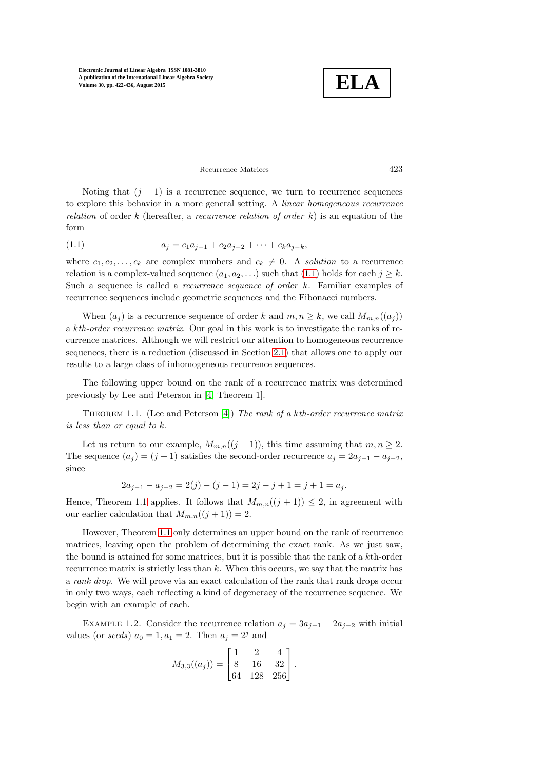

<span id="page-1-0"></span>Recurrence Matrices 423

Noting that  $(j + 1)$  is a recurrence sequence, we turn to recurrence sequences to explore this behavior in a more general setting. A linear homogeneous recurrence relation of order k (hereafter, a recurrence relation of order k) is an equation of the form

(1.1) 
$$
a_j = c_1 a_{j-1} + c_2 a_{j-2} + \cdots + c_k a_{j-k},
$$

where  $c_1, c_2, \ldots, c_k$  are complex numbers and  $c_k \neq 0$ . A solution to a recurrence relation is a complex-valued sequence  $(a_1, a_2, \ldots)$  such that [\(1.1\)](#page-1-0) holds for each  $j \geq k$ . Such a sequence is called a *recurrence sequence of order*  $k$ . Familiar examples of recurrence sequences include geometric sequences and the Fibonacci numbers.

When  $(a_i)$  is a recurrence sequence of order k and  $m, n \geq k$ , we call  $M_{m,n}((a_i))$ a kth-order recurrence matrix. Our goal in this work is to investigate the ranks of recurrence matrices. Although we will restrict our attention to homogeneous recurrence sequences, there is a reduction (discussed in Section [2.1\)](#page-5-0) that allows one to apply our results to a large class of inhomogeneous recurrence sequences.

<span id="page-1-1"></span>The following upper bound on the rank of a recurrence matrix was determined previously by Lee and Peterson in [\[4,](#page-14-0) Theorem 1].

THEOREM 1.1. (Lee and Peterson [\[4\]](#page-14-0)) The rank of a kth-order recurrence matrix is less than or equal to k.

Let us return to our example,  $M_{m,n}((j + 1))$ , this time assuming that  $m, n \geq 2$ . The sequence  $(a_j) = (j + 1)$  satisfies the second-order recurrence  $a_j = 2a_{j-1} - a_{j-2}$ , since

$$
2a_{j-1} - a_{j-2} = 2(j) - (j - 1) = 2j - j + 1 = j + 1 = a_j.
$$

Hence, Theorem [1.1](#page-1-1) applies. It follows that  $M_{m,n}((j + 1)) \leq 2$ , in agreement with our earlier calculation that  $M_{m,n}((j+1)) = 2$ .

However, Theorem [1.1](#page-1-1) only determines an upper bound on the rank of recurrence matrices, leaving open the problem of determining the exact rank. As we just saw, the bound is attained for some matrices, but it is possible that the rank of a kth-order recurrence matrix is strictly less than  $k$ . When this occurs, we say that the matrix has a rank drop. We will prove via an exact calculation of the rank that rank drops occur in only two ways, each reflecting a kind of degeneracy of the recurrence sequence. We begin with an example of each.

EXAMPLE 1.2. Consider the recurrence relation  $a_j = 3a_{j-1} - 2a_{j-2}$  with initial values (or seeds)  $a_0 = 1, a_1 = 2$ . Then  $a_j = 2^j$  and

$$
M_{3,3}((a_j)) = \begin{bmatrix} 1 & 2 & 4 \\ 8 & 16 & 32 \\ 64 & 128 & 256 \end{bmatrix}.
$$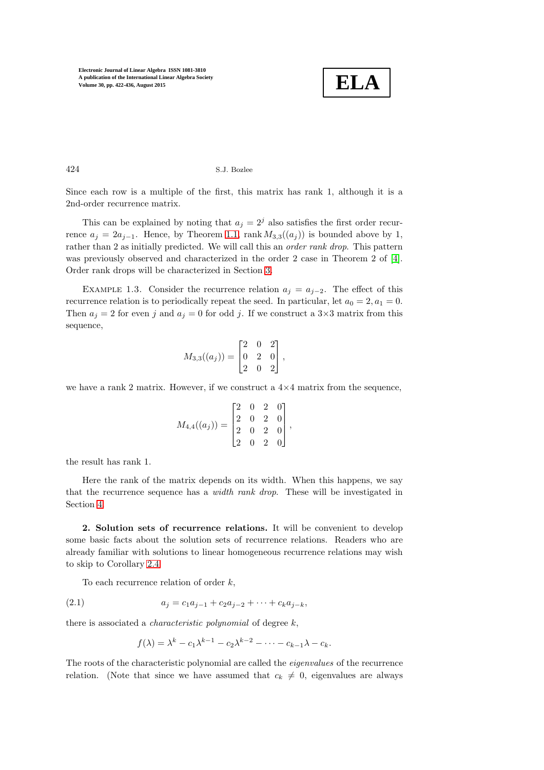

424 S.J. Bozlee

Since each row is a multiple of the first, this matrix has rank 1, although it is a 2nd-order recurrence matrix.

This can be explained by noting that  $a_i = 2^i$  also satisfies the first order recurrence  $a_j = 2a_{j-1}$ . Hence, by Theorem [1.1,](#page-1-1) rank  $M_{3,3}((a_j))$  is bounded above by 1, rather than 2 as initially predicted. We will call this an *order rank drop*. This pattern was previously observed and characterized in the order 2 case in Theorem 2 of [\[4\]](#page-14-0). Order rank drops will be characterized in Section [3.](#page-5-1)

<span id="page-2-1"></span>EXAMPLE 1.3. Consider the recurrence relation  $a_j = a_{j-2}$ . The effect of this recurrence relation is to periodically repeat the seed. In particular, let  $a_0 = 2, a_1 = 0$ . Then  $a_j = 2$  for even j and  $a_j = 0$  for odd j. If we construct a  $3 \times 3$  matrix from this sequence,

$$
M_{3,3}((a_j)) = \begin{bmatrix} 2 & 0 & 2 \\ 0 & 2 & 0 \\ 2 & 0 & 2 \end{bmatrix},
$$

we have a rank 2 matrix. However, if we construct a  $4\times4$  matrix from the sequence,

$$
M_{4,4}((a_j)) = \begin{bmatrix} 2 & 0 & 2 & 0 \\ 2 & 0 & 2 & 0 \\ 2 & 0 & 2 & 0 \\ 2 & 0 & 2 & 0 \end{bmatrix},
$$

the result has rank 1.

Here the rank of the matrix depends on its width. When this happens, we say that the recurrence sequence has a width rank drop. These will be investigated in Section [4.](#page-7-0)

2. Solution sets of recurrence relations. It will be convenient to develop some basic facts about the solution sets of recurrence relations. Readers who are already familiar with solutions to linear homogeneous recurrence relations may wish to skip to Corollary [2.4.](#page-5-2)

To each recurrence relation of order  $k$ ,

(2.1) 
$$
a_j = c_1 a_{j-1} + c_2 a_{j-2} + \cdots + c_k a_{j-k},
$$

there is associated a *characteristic polynomial* of degree  $k$ ,

<span id="page-2-0"></span>
$$
f(\lambda) = \lambda^k - c_1 \lambda^{k-1} - c_2 \lambda^{k-2} - \dots - c_{k-1} \lambda - c_k.
$$

The roots of the characteristic polynomial are called the eigenvalues of the recurrence relation. (Note that since we have assumed that  $c_k \neq 0$ , eigenvalues are always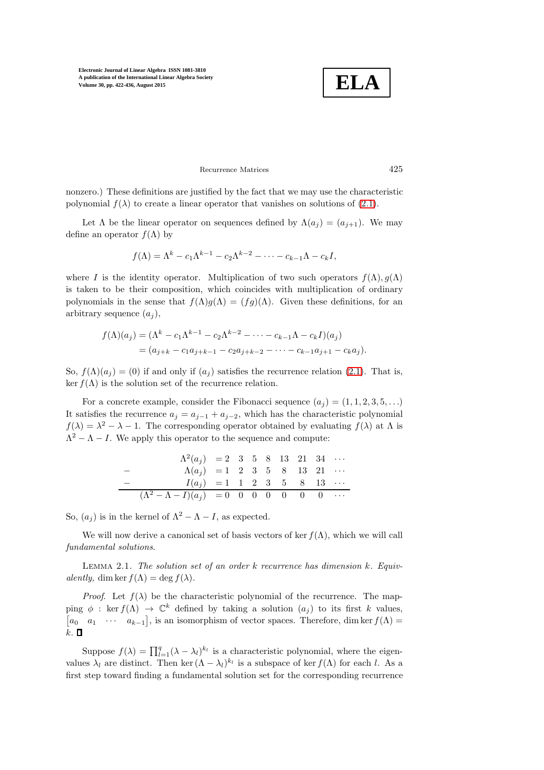**ELA**

# Recurrence Matrices 425

nonzero.) These definitions are justified by the fact that we may use the characteristic polynomial  $f(\lambda)$  to create a linear operator that vanishes on solutions of [\(2.1\)](#page-2-0).

Let  $\Lambda$  be the linear operator on sequences defined by  $\Lambda(a_i) = (a_{i+1})$ . We may define an operator  $f(\Lambda)$  by

$$
f(\Lambda) = \Lambda^k - c_1 \Lambda^{k-1} - c_2 \Lambda^{k-2} - \dots - c_{k-1} \Lambda - c_k I,
$$

where I is the identity operator. Multiplication of two such operators  $f(\Lambda)$ ,  $g(\Lambda)$ is taken to be their composition, which coincides with multiplication of ordinary polynomials in the sense that  $f(\Lambda)g(\Lambda) = (fg)(\Lambda)$ . Given these definitions, for an arbitrary sequence  $(a_i)$ ,

$$
f(\Lambda)(a_j) = (\Lambda^k - c_1 \Lambda^{k-1} - c_2 \Lambda^{k-2} - \dots - c_{k-1} \Lambda - c_k I)(a_j)
$$
  
=  $(a_{j+k} - c_1 a_{j+k-1} - c_2 a_{j+k-2} - \dots - c_{k-1} a_{j+1} - c_k a_j).$ 

So,  $f(\Lambda)(a_j) = (0)$  if and only if  $(a_j)$  satisfies the recurrence relation [\(2.1\)](#page-2-0). That is, ker  $f(\Lambda)$  is the solution set of the recurrence relation.

For a concrete example, consider the Fibonacci sequence  $(a_j) = (1, 1, 2, 3, 5, \ldots)$ It satisfies the recurrence  $a_j = a_{j-1} + a_{j-2}$ , which has the characteristic polynomial  $f(\lambda) = \lambda^2 - \lambda - 1$ . The corresponding operator obtained by evaluating  $f(\lambda)$  at  $\Lambda$  is  $\Lambda^2 - \Lambda - I$ . We apply this operator to the sequence and compute:

Λ 2 (a<sup>j</sup> ) = 2 3 5 8 13 21 34 · · · − Λ(aj) = 1 2 3 5 8 13 21 · · · − I(a<sup>j</sup> ) = 1 1 2 3 5 8 13 · · · (Λ<sup>2</sup> <sup>−</sup> <sup>Λ</sup> <sup>−</sup> <sup>I</sup>)(a<sup>j</sup> ) = 0 0 0 0 0 0 0 · · ·

So,  $(a_i)$  is in the kernel of  $\Lambda^2 - \Lambda - I$ , as expected.

<span id="page-3-0"></span>We will now derive a canonical set of basis vectors of ker  $f(\Lambda)$ , which we will call fundamental solutions.

LEMMA 2.1. The solution set of an order k recurrence has dimension k. Equivalently, dim ker  $f(\Lambda) = \deg f(\lambda)$ .

*Proof.* Let  $f(\lambda)$  be the characteristic polynomial of the recurrence. The mapping  $\phi$  : ker  $f(\Lambda) \to \mathbb{C}^k$  defined by taking a solution  $(a_j)$  to its first k values,  $[a_0 \quad a_1 \quad \cdots \quad a_{k-1}],$  is an isomorphism of vector spaces. Therefore, dim ker  $f(\Lambda)$  =  $k.$   $\square$ 

Suppose  $f(\lambda) = \prod_{l=1}^{q} (\lambda - \lambda_l)^{k_l}$  is a characteristic polynomial, where the eigenvalues  $\lambda_l$  are distinct. Then ker  $(\Lambda - \lambda_l)^{k_l}$  is a subspace of ker  $f(\Lambda)$  for each l. As a first step toward finding a fundamental solution set for the corresponding recurrence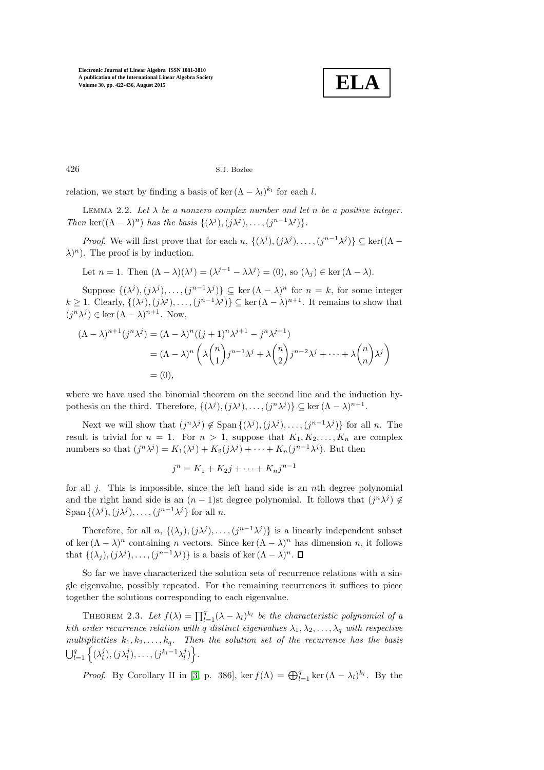

426 S.J. Bozlee

relation, we start by finding a basis of ker  $(\Lambda - \lambda_l)^{k_l}$  for each l.

LEMMA 2.2. Let  $\lambda$  be a nonzero complex number and let n be a positive integer. Then ker $((\Lambda - \lambda)^n)$  has the basis  $\{(\lambda^j), (j\lambda^j), \ldots, (j^{n-1}\lambda^j)\}.$ 

*Proof.* We will first prove that for each  $n, \{(\lambda^j), (j\lambda^j), \ldots, (j^{n-1}\lambda^j)\}\subseteq \ker((\Lambda \lambda$ <sup>n</sup>). The proof is by induction.

Let  $n = 1$ . Then  $(\Lambda - \lambda)(\lambda^{j}) = (\lambda^{j+1} - \lambda \lambda^{j}) = (0)$ , so  $(\lambda_{j}) \in \text{ker}(\Lambda - \lambda)$ .

Suppose  $\{(\lambda^j), (j\lambda^j), \ldots, (j^{n-1}\lambda^j)\}\subseteq \ker (\Lambda - \lambda)^n$  for  $n = k$ , for some integer  $k \geq 1$ . Clearly,  $\{(\lambda^j), (j\lambda^j), \ldots, (j^{n-1}\lambda^j)\} \subseteq \text{ker } (\Lambda - \lambda)^{n+1}$ . It remains to show that  $(j^n\lambda^j) \in \text{ker}(\Lambda - \lambda)^{n+1}$ . Now,

$$
(\Lambda - \lambda)^{n+1} (j^n \lambda^j) = (\Lambda - \lambda)^n ((j+1)^n \lambda^{j+1} - j^n \lambda^{j+1})
$$
  
=  $(\Lambda - \lambda)^n \left( \lambda {n \choose 1} j^{n-1} \lambda^j + \lambda {n \choose 2} j^{n-2} \lambda^j + \dots + \lambda {n \choose n} \lambda^j \right)$   
= (0),

where we have used the binomial theorem on the second line and the induction hypothesis on the third. Therefore,  $\{(\lambda^j), (j\lambda^j), \ldots, (j^n\lambda^j)\} \subseteq \ker (\Lambda - \lambda)^{n+1}$ .

Next we will show that  $(j^n\lambda^j) \notin \text{Span} \{(\lambda^j), (j\lambda^j), \ldots, (j^{n-1}\lambda^j)\}\$  for all *n*. The result is trivial for  $n = 1$ . For  $n > 1$ , suppose that  $K_1, K_2, \ldots, K_n$  are complex numbers so that  $(j^n\lambda^j) = K_1(\lambda^j) + K_2(j\lambda^j) + \cdots + K_n(j^{n-1}\lambda^j)$ . But then

$$
j^{n} = K_1 + K_2 j + \dots + K_n j^{n-1}
$$

for all  $j$ . This is impossible, since the left hand side is an nth degree polynomial and the right hand side is an  $(n-1)$ st degree polynomial. It follows that  $(j<sup>n</sup> \lambda<sup>j</sup>) \notin$ Span  $\{(\lambda^j), (j\lambda^j), \ldots, (j^{n-1}\lambda^j)\}$  for all n.

Therefore, for all  $n, \{(\lambda_j), (j\lambda^j), \ldots, (j^{n-1}\lambda^j)\}\$ is a linearly independent subset of ker  $(\Lambda - \lambda)^n$  containing *n* vectors. Since ker  $(\Lambda - \lambda)^n$  has dimension *n*, it follows that  $\{(\lambda_j), (j\lambda^j), \ldots, (j^{n-1}\lambda^j)\}\$ is a basis of ker $(\Lambda - \lambda)^n$ .

So far we have characterized the solution sets of recurrence relations with a single eigenvalue, possibly repeated. For the remaining recurrences it suffices to piece together the solutions corresponding to each eigenvalue.

<span id="page-4-0"></span>THEOREM 2.3. Let  $f(\lambda) = \prod_{l=1}^{q} (\lambda - \lambda_l)^{k_l}$  be the characteristic polynomial of a kth order recurrence relation with q distinct eigenvalues  $\lambda_1, \lambda_2, \ldots, \lambda_q$  with respective multiplicities  $k_1, k_2, \ldots, k_q$ . Then the solution set of the recurrence has the basis  $\bigcup_{l=1}^q \left\{ (\lambda_l^j), (j\lambda_l^j), \ldots, (j^{k_l-1}\lambda_l^j) \right\}.$ 

*Proof.* By Corollary II in [\[3,](#page-14-1) p. 386], ker  $f(\Lambda) = \bigoplus_{l=1}^{q} \ker (\Lambda - \lambda_l)^{k_l}$ . By the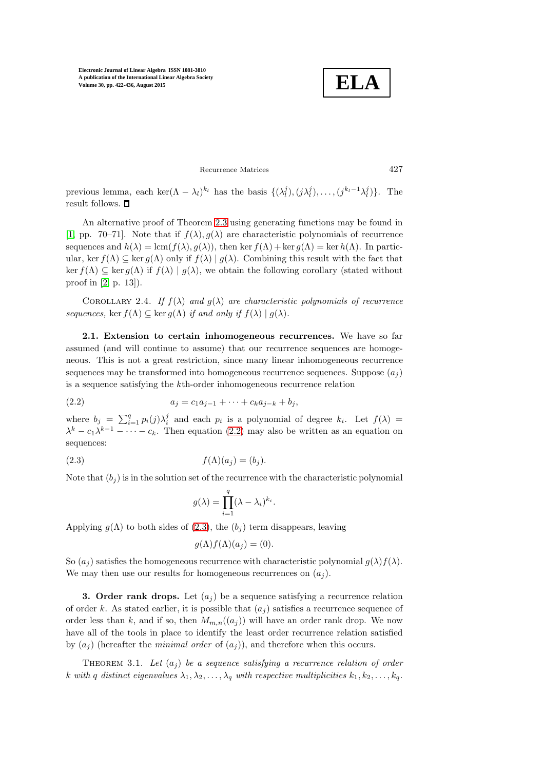**ELA**

Recurrence Matrices 427

previous lemma, each ker $(\Lambda - \lambda_l)^{k_l}$  has the basis  $\{(\lambda_l^j), (j\lambda_l^j), \ldots, (j^{k_l-1}\lambda_l^j)\}$ . The result follows.  $\Box$ 

An alternative proof of Theorem [2.3](#page-4-0) using generating functions may be found in [\[1,](#page-14-2) pp. 70–71]. Note that if  $f(\lambda), g(\lambda)$  are characteristic polynomials of recurrence sequences and  $h(\lambda) = \text{lcm}(f(\lambda), g(\lambda))$ , then ker  $f(\Lambda) + \text{ker } g(\Lambda) = \text{ker } h(\Lambda)$ . In particular, ker  $f(\Lambda) \subseteq \ker q(\Lambda)$  only if  $f(\lambda) | q(\lambda)$ . Combining this result with the fact that ker  $f(\Lambda) \subseteq \ker g(\Lambda)$  if  $f(\lambda) | g(\lambda)$ , we obtain the following corollary (stated without proof in [\[2,](#page-14-3) p. 13]).

<span id="page-5-2"></span><span id="page-5-0"></span>COROLLARY 2.4. If  $f(\lambda)$  and  $g(\lambda)$  are characteristic polynomials of recurrence sequences, ker  $f(\Lambda) \subseteq \text{ker } g(\Lambda)$  if and only if  $f(\lambda) | g(\lambda)$ .

2.1. Extension to certain inhomogeneous recurrences. We have so far assumed (and will continue to assume) that our recurrence sequences are homogeneous. This is not a great restriction, since many linear inhomogeneous recurrence sequences may be transformed into homogeneous recurrence sequences. Suppose  $(a_i)$ is a sequence satisfying the kth-order inhomogeneous recurrence relation

(2.2) 
$$
a_j = c_1 a_{j-1} + \cdots + c_k a_{j-k} + b_j,
$$

where  $b_j = \sum_{i=1}^q p_i(j)\lambda_i^j$  and each  $p_i$  is a polynomial of degree  $k_i$ . Let  $f(\lambda) =$  $\lambda^{k} - c_{1} \lambda^{k-1} - \cdots - c_{k}$ . Then equation [\(2.2\)](#page-5-3) may also be written as an equation on sequences:

$$
(2.3) \t\t f(\Lambda)(a_j) = (b_j).
$$

Note that  $(b_i)$  is in the solution set of the recurrence with the characteristic polynomial

<span id="page-5-4"></span><span id="page-5-3"></span>
$$
g(\lambda) = \prod_{i=1}^{q} (\lambda - \lambda_i)^{k_i}.
$$

Applying  $g(\Lambda)$  to both sides of [\(2.3\)](#page-5-4), the  $(b_i)$  term disappears, leaving

$$
g(\Lambda)f(\Lambda)(a_j) = (0).
$$

<span id="page-5-1"></span>So  $(a_i)$  satisfies the homogeneous recurrence with characteristic polynomial  $g(\lambda) f(\lambda)$ . We may then use our results for homogeneous recurrences on  $(a_i)$ .

3. Order rank drops. Let  $(a_i)$  be a sequence satisfying a recurrence relation of order k. As stated earlier, it is possible that  $(a_i)$  satisfies a recurrence sequence of order less than k, and if so, then  $M_{m,n}((a_i))$  will have an order rank drop. We now have all of the tools in place to identify the least order recurrence relation satisfied by  $(a_i)$  (hereafter the *minimal order* of  $(a_i)$ ), and therefore when this occurs.

<span id="page-5-5"></span>THEOREM 3.1. Let  $(a_j)$  be a sequence satisfying a recurrence relation of order k with q distinct eigenvalues  $\lambda_1, \lambda_2, \ldots, \lambda_q$  with respective multiplicities  $k_1, k_2, \ldots, k_q$ .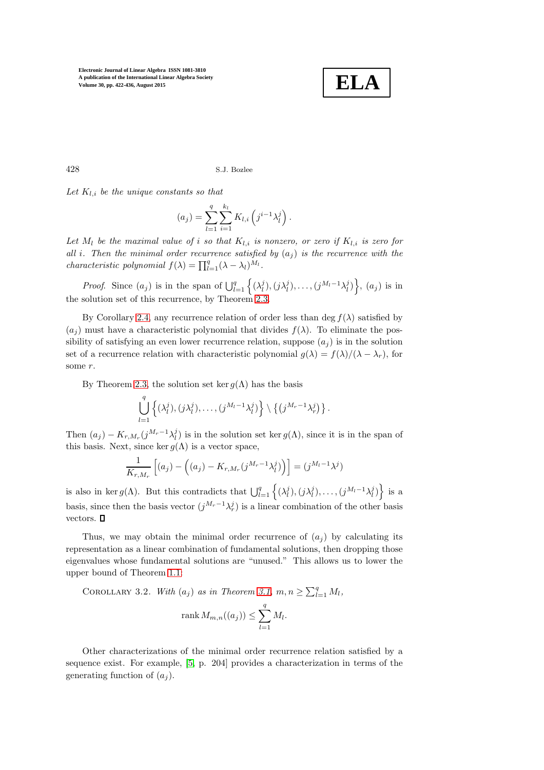

428 S.J. Bozlee

Let  $K_{l,i}$  be the unique constants so that

$$
(a_j) = \sum_{l=1}^{q} \sum_{i=1}^{k_l} K_{l,i} \left( j^{i-1} \lambda_l^j \right).
$$

Let  $M_l$  be the maximal value of i so that  $K_{l,i}$  is nonzero, or zero if  $K_{l,i}$  is zero for all i. Then the minimal order recurrence satisfied by  $(a_i)$  is the recurrence with the *characteristic polynomial*  $f(\lambda) = \prod_{l=1}^{q} (\lambda - \lambda_l)^{M_l}$ .

*Proof.* Since  $(a_j)$  is in the span of  $\bigcup_{l=1}^q \left\{ (\lambda_l^j), (j\lambda_l^j), \ldots, (j^{M_l-1}\lambda_l^j) \right\}$ ,  $(a_j)$  is in the solution set of this recurrence, by Theorem [2.3.](#page-4-0)

By Corollary [2.4,](#page-5-2) any recurrence relation of order less than deg  $f(\lambda)$  satisfied by  $(a_i)$  must have a characteristic polynomial that divides  $f(\lambda)$ . To eliminate the possibility of satisfying an even lower recurrence relation, suppose  $(a_j)$  is in the solution set of a recurrence relation with characteristic polynomial  $g(\lambda) = f(\lambda)/(\lambda - \lambda_r)$ , for some r.

By Theorem [2.3,](#page-4-0) the solution set ker  $g(\Lambda)$  has the basis

$$
\bigcup_{l=1}^q \left\{ (\lambda_l^j), (j\lambda_l^j), \ldots, (j^{M_l-1}\lambda_l^j) \right\} \setminus \left\{ (j^{M_r-1}\lambda_r^j) \right\}.
$$

Then  $(a_j) - K_{r,M_r}(j^{M_r-1}\lambda_l^j)$  is in the solution set ker  $g(\Lambda)$ , since it is in the span of this basis. Next, since ker  $q(\Lambda)$  is a vector space.

$$
\frac{1}{K_{r,M_r}}\left[(a_j)-\left((a_j)-K_{r,M_r}(j^{M_r-1}\lambda_l^j)\right)\right]=(j^{M_l-1}\lambda^j)
$$

is also in ker  $g(\Lambda)$ . But this contradicts that  $\bigcup_{l=1}^q \left\{ (\lambda_l^j), (j\lambda_l^j), \ldots, (j^{M_l-1}\lambda_l^j) \right\}$  is a basis, since then the basis vector  $(j^{M_r-1}\lambda_r^j)$  is a linear combination of the other basis vectors.  $\square$ 

Thus, we may obtain the minimal order recurrence of  $(a_i)$  by calculating its representation as a linear combination of fundamental solutions, then dropping those eigenvalues whose fundamental solutions are "unused." This allows us to lower the upper bound of Theorem [1.1:](#page-1-1)

COROLLARY 3.2. With  $(a_j)$  as in Theorem [3.1,](#page-5-5)  $m, n \geq \sum_{l=1}^{q} M_l$ ,

$$
\operatorname{rank} M_{m,n}((a_j)) \le \sum_{l=1}^q M_l.
$$

Other characterizations of the minimal order recurrence relation satisfied by a sequence exist. For example, [\[5,](#page-14-4) p. 204] provides a characterization in terms of the generating function of  $(a_i)$ .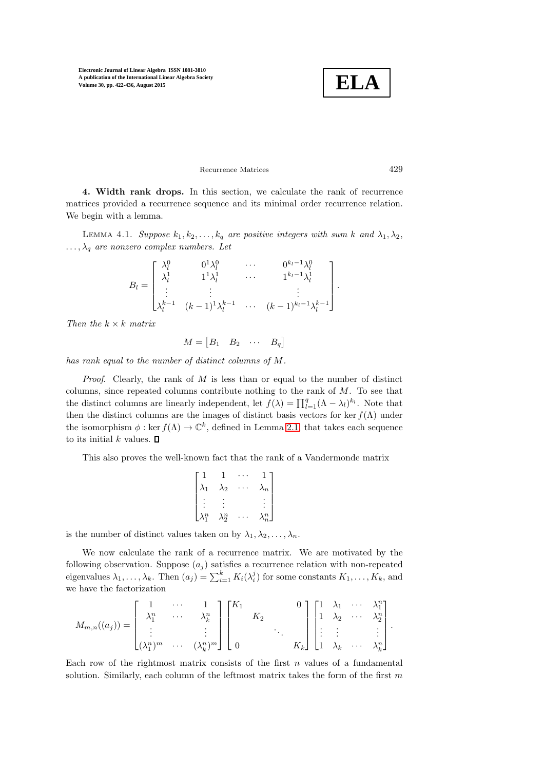### Recurrence Matrices 429

<span id="page-7-0"></span>4. Width rank drops. In this section, we calculate the rank of recurrence matrices provided a recurrence sequence and its minimal order recurrence relation. We begin with a lemma.

<span id="page-7-1"></span>LEMMA 4.1. Suppose  $k_1, k_2, \ldots, k_q$  are positive integers with sum k and  $\lambda_1, \lambda_2$ ,  $\ldots, \lambda_q$  are nonzero complex numbers. Let

$$
B_{l} = \begin{bmatrix} \lambda_{l}^{0} & 0^{1} \lambda_{l}^{0} & \cdots & 0^{k_{l}-1} \lambda_{l}^{0} \\ \lambda_{l}^{1} & 1^{1} \lambda_{l}^{1} & \cdots & 1^{k_{l}-1} \lambda_{l}^{1} \\ \vdots & \vdots & & \vdots \\ \lambda_{l}^{k-1} & (k-1)^{1} \lambda_{l}^{k-1} & \cdots & (k-1)^{k_{l}-1} \lambda_{l}^{k-1} \end{bmatrix}.
$$

Then the  $k \times k$  matrix

$$
M = \begin{bmatrix} B_1 & B_2 & \cdots & B_q \end{bmatrix}
$$

has rank equal to the number of distinct columns of M.

*Proof.* Clearly, the rank of  $M$  is less than or equal to the number of distinct columns, since repeated columns contribute nothing to the rank of  $M$ . To see that the distinct columns are linearly independent, let  $f(\lambda) = \prod_{l=1}^{q} (\Lambda - \lambda_l)^{k_l}$ . Note that then the distinct columns are the images of distinct basis vectors for ker  $f(\Lambda)$  under the isomorphism  $\phi : \ker f(\Lambda) \to \mathbb{C}^k$ , defined in Lemma [2.1,](#page-3-0) that takes each sequence to its initial k values.  $\square$ 

This also proves the well-known fact that the rank of a Vandermonde matrix

$$
\begin{bmatrix}\n1 & 1 & \cdots & 1 \\
\lambda_1 & \lambda_2 & \cdots & \lambda_n \\
\vdots & \vdots & & \vdots \\
\lambda_1^n & \lambda_2^n & \cdots & \lambda_n^n\n\end{bmatrix}
$$

is the number of distinct values taken on by  $\lambda_1, \lambda_2, \ldots, \lambda_n$ .

We now calculate the rank of a recurrence matrix. We are motivated by the following observation. Suppose  $(a_i)$  satisfies a recurrence relation with non-repeated eigenvalues  $\lambda_1, \ldots, \lambda_k$ . Then  $(a_j) = \sum_{i=1}^k K_i(\lambda_i^j)$  for some constants  $K_1, \ldots, K_k$ , and we have the factorization

$$
M_{m,n}((a_j)) = \begin{bmatrix} 1 & \cdots & 1 \\ \lambda_1^n & \cdots & \lambda_k^n \\ \vdots & & \vdots \\ (\lambda_1^n)^m & \cdots & (\lambda_k^n)^m \end{bmatrix} \begin{bmatrix} K_1 & & & 0 \\ & K_2 & & \\ & & \ddots & \\ 0 & & & K_k \end{bmatrix} \begin{bmatrix} 1 & \lambda_1 & \cdots & \lambda_1^n \\ 1 & \lambda_2 & \cdots & \lambda_2^n \\ \vdots & \vdots & & \vdots \\ 1 & \lambda_k & \cdots & \lambda_k^n \end{bmatrix}.
$$

Each row of the rightmost matrix consists of the first  $n$  values of a fundamental solution. Similarly, each column of the leftmost matrix takes the form of the first  $m$ 

**ELA**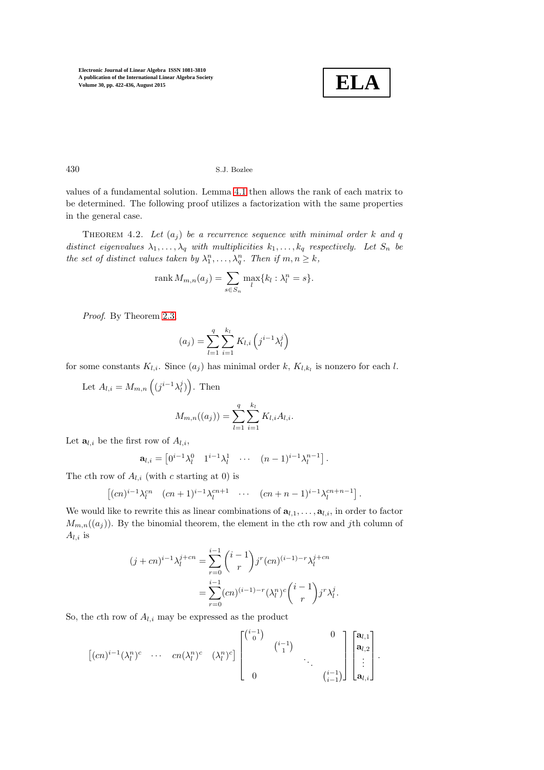

## 430 S.J. Bozlee

values of a fundamental solution. Lemma [4.1](#page-7-1) then allows the rank of each matrix to be determined. The following proof utilizes a factorization with the same properties in the general case.

<span id="page-8-0"></span>THEOREM 4.2. Let  $(a_i)$  be a recurrence sequence with minimal order k and q distinct eigenvalues  $\lambda_1, \ldots, \lambda_q$  with multiplicities  $k_1, \ldots, k_q$  respectively. Let  $S_n$  be the set of distinct values taken by  $\lambda_1^n, \ldots, \lambda_q^n$ . Then if  $m, n \geq k$ ,

$$
\operatorname{rank} M_{m,n}(a_j) = \sum_{s \in S_n} \max_l \{k_l : \lambda_l^n = s\}.
$$

Proof. By Theorem [2.3,](#page-4-0)

$$
(a_j) = \sum_{l=1}^{q} \sum_{i=1}^{k_l} K_{l,i} \left( j^{i-1} \lambda_l^j \right)
$$

for some constants  $K_{l,i}$ . Since  $(a_j)$  has minimal order k,  $K_{l,k_l}$  is nonzero for each l.

Let  $A_{l,i} = M_{m,n} \left( (j^{i-1} \lambda_l^j) \right)$ . Then  $M_{m,n}((a_j)) = \sum_{i=1}^{q}$  $_{l=1}$  $\sum$  $k_l$  $i=1$  $K_{l,i}A_{l,i}.$ 

Let  $\mathbf{a}_{l,i}$  be the first row of  $A_{l,i}$ ,

$$
\mathbf{a}_{l,i} = \begin{bmatrix} 0^{i-1} \lambda_l^0 & 1^{i-1} \lambda_l^1 & \cdots & (n-1)^{i-1} \lambda_l^{n-1} \end{bmatrix}.
$$

The cth row of  $A_{l,i}$  (with c starting at 0) is

$$
\left[ (cn)^{i-1} \lambda_l^{cn} \quad (cn+1)^{i-1} \lambda_l^{cn+1} \quad \cdots \quad (cn+n-1)^{i-1} \lambda_l^{cn+n-1} \right].
$$

We would like to rewrite this as linear combinations of  $\mathbf{a}_{l,1}, \ldots, \mathbf{a}_{l,i}$ , in order to factor  $M_{m,n}((a_j))$ . By the binomial theorem, the element in the cth row and jth column of  $A_{l,i}$  is

$$
(j + cn)^{i-1} \lambda_l^{j+cn} = \sum_{r=0}^{i-1} {i-1 \choose r} j^r (cn)^{(i-1)-r} \lambda_l^{j+cn}
$$
  
= 
$$
\sum_{r=0}^{i-1} (cn)^{(i-1)-r} (\lambda_l^n)^c {i-1 \choose r} j^r \lambda_l^j.
$$

So, the cth row of  $A_{l,i}$  may be expressed as the product

-(cn) i−1 (λ n l ) c · · · cn(λ n l ) c (λ n l ) c i−1 0 0 i−1 1 . . . 0 i−1 i−1 al,<sup>1</sup> al,<sup>2</sup> . . . al,i .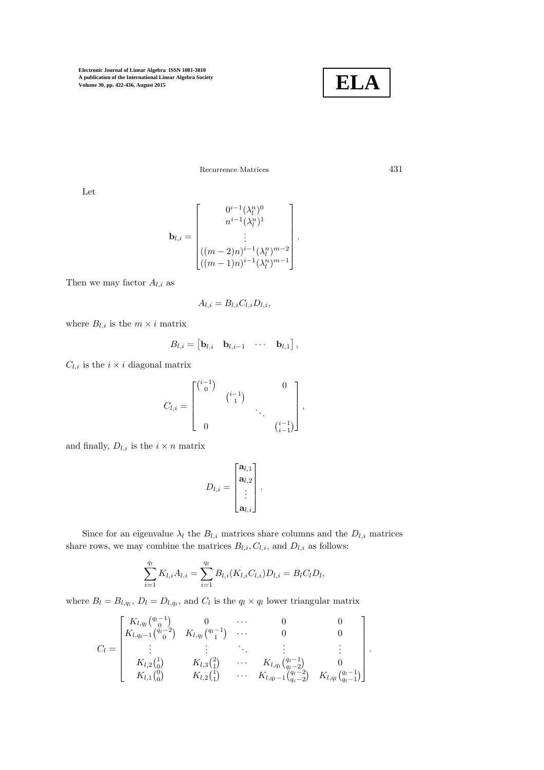

Recurrence Matrices 431

Let

$$
\mathbf{b}_{l,i} = \begin{bmatrix} 0^{i-1} (\lambda_l^n)^0 \\ n^{i-1} (\lambda_l^n)^1 \\ \vdots \\ ( (m-2)n)^{i-1} (\lambda_l^n)^{m-2} \\ \vdots \\ ( (m-1)n)^{i-1} (\lambda_l^n)^{m-1} \end{bmatrix}.
$$

Then we may factor  $A_{l,i}$  as

$$
A_{l,i} = B_{l,i} C_{l,i} D_{l,i},
$$

where  $B_{l,i}$  is the  $m \times i$  matrix

$$
B_{l,i} = \begin{bmatrix} \mathbf{b}_{l,i} & \mathbf{b}_{l,i-1} & \cdots & \mathbf{b}_{l,1} \end{bmatrix},
$$

 $C_{l,i}$  is the  $i \times i$  diagonal matrix

$$
C_{l,i} = \begin{bmatrix} {i-1 \choose 0} & & & 0 \\ & {i-1 \choose 1} & & \\ & & \ddots & \\ 0 & & & {i-1 \choose i-1} \end{bmatrix},
$$

and finally,  $D_{l,i}$  is the  $i \times n$  matrix

$$
D_{l,i} = \begin{bmatrix} \mathbf{a}_{l,1} \\ \mathbf{a}_{l,2} \\ \vdots \\ \mathbf{a}_{l,i} \end{bmatrix}.
$$

Since for an eigenvalue  $\lambda_l$  the  $B_{l,i}$  matrices share columns and the  $D_{l,i}$  matrices share rows, we may combine the matrices  $B_{l,i}, C_{l,i}$ , and  $D_{l,i}$  as follows:

$$
\sum_{i=1}^{q_l} K_{l,i} A_{l,i} = \sum_{i=1}^{q_l} B_{l,i}(K_{l,i}C_{l,i}) D_{l,i} = B_l C_l D_l,
$$

where  $B_l = B_{l,q_l}, D_l = D_{l,q_l}$ , and  $C_l$  is the  $q_l \times q_l$  lower triangular matrix

$$
C_{l} = \begin{bmatrix} K_{l,q_{l}} \binom{q_{l}-1}{0} & 0 & \cdots & 0 & 0 \\ K_{l,q_{l}-1} \binom{q_{l}-2}{0} & K_{l,q_{l}} \binom{q_{l}-1}{1} & \cdots & 0 & 0 \\ \vdots & \vdots & \ddots & \vdots & \vdots \\ K_{l,2} \binom{1}{0} & K_{l,3} \binom{2}{1} & \cdots & K_{l,q_{l}} \binom{q_{l}-1}{q_{l}-2} & 0 \\ K_{l,1} \binom{0}{0} & K_{l,2} \binom{1}{1} & \cdots & K_{l,q_{l}-1} \binom{q_{l}-2}{q_{l}-2} & K_{l,q_{l}} \binom{q_{l}-1}{q_{l}-1} \end{bmatrix}.
$$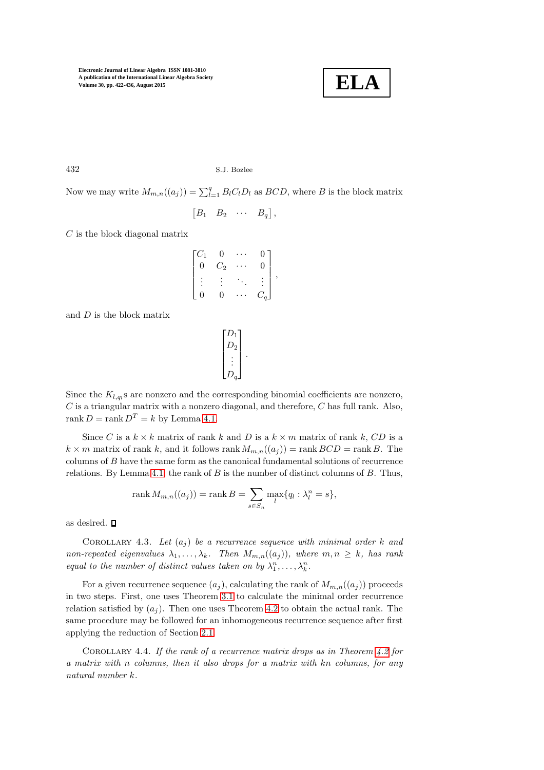

432 S.J. Bozlee

Now we may write  $M_{m,n}((a_j)) = \sum_{l=1}^q B_l C_l D_l$  as  $BCD$ , where B is the block matrix

$$
\begin{bmatrix} B_1 & B_2 & \cdots & B_q \end{bmatrix},
$$

 $C$  is the block diagonal matrix

$$
\begin{bmatrix} C_1 & 0 & \cdots & 0 \\ 0 & C_2 & \cdots & 0 \\ \vdots & \vdots & \ddots & \vdots \\ 0 & 0 & \cdots & C_q \end{bmatrix}
$$

,

and  $D$  is the block matrix

 $\sqrt{ }$   $D_1$  $D_2$ . . .  $D_q$ 1 .

Since the  $K_{l,q_l}$ s are nonzero and the corresponding binomial coefficients are nonzero,  $C$  is a triangular matrix with a nonzero diagonal, and therefore,  $C$  has full rank. Also, rank  $D = \text{rank } D^T = k$  by Lemma [4.1.](#page-7-1)

Since C is a  $k \times k$  matrix of rank k and D is a  $k \times m$  matrix of rank k, CD is a  $k \times m$  matrix of rank k, and it follows rank  $M_{m,n}((a_j)) = \text{rank } BCD = \text{rank } B$ . The columns of B have the same form as the canonical fundamental solutions of recurrence relations. By Lemma [4.1,](#page-7-1) the rank of  $B$  is the number of distinct columns of  $B$ . Thus,

$$
\operatorname{rank} M_{m,n}((a_j)) = \operatorname{rank} B = \sum_{s \in S_n} \max_l \{ q_l : \lambda_l^n = s \},
$$

as desired.

COROLLARY 4.3. Let  $(a_i)$  be a recurrence sequence with minimal order k and non-repeated eigenvalues  $\lambda_1, \ldots, \lambda_k$ . Then  $M_{m,n}((a_j))$ , where  $m, n \geq k$ , has rank equal to the number of distinct values taken on by  $\lambda_1^n, \ldots, \lambda_k^n$ .

For a given recurrence sequence  $(a_i)$ , calculating the rank of  $M_{m,n}((a_i))$  proceeds in two steps. First, one uses Theorem [3.1](#page-5-5) to calculate the minimal order recurrence relation satisfied by  $(a_i)$ . Then one uses Theorem [4.2](#page-8-0) to obtain the actual rank. The same procedure may be followed for an inhomogeneous recurrence sequence after first applying the reduction of Section [2.1.](#page-5-0)

COROLLARY 4.4. If the rank of a recurrence matrix drops as in Theorem  $4.2$  for a matrix with n columns, then it also drops for a matrix with kn columns, for any natural number k.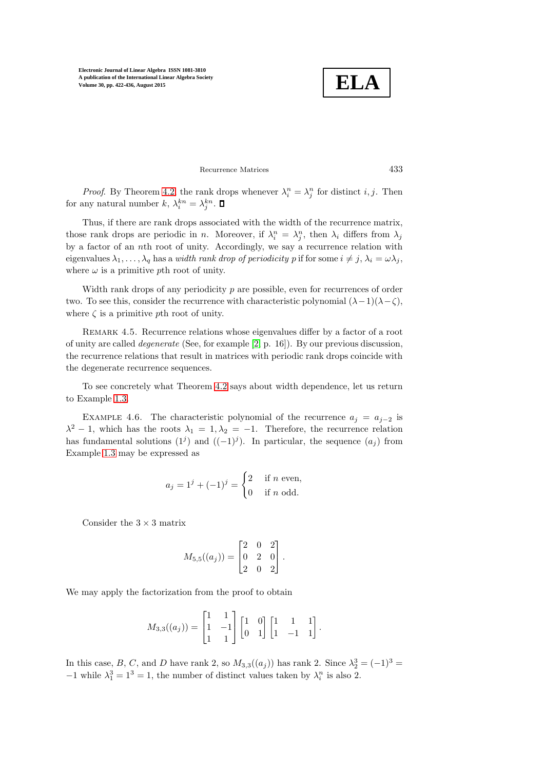**ELA**

# Recurrence Matrices 433

*Proof.* By Theorem [4.2,](#page-8-0) the rank drops whenever  $\lambda_i^n = \lambda_j^n$  for distinct i, j. Then for any natural number  $k, \lambda_i^{kn} = \lambda_j^{kn}$ .

Thus, if there are rank drops associated with the width of the recurrence matrix, those rank drops are periodic in *n*. Moreover, if  $\lambda_i^n = \lambda_j^n$ , then  $\lambda_i$  differs from  $\lambda_j$ by a factor of an nth root of unity. Accordingly, we say a recurrence relation with eigenvalues  $\lambda_1, \ldots, \lambda_q$  has a width rank drop of periodicity p if for some  $i \neq j, \lambda_i = \omega \lambda_j$ , where  $\omega$  is a primitive pth root of unity.

Width rank drops of any periodicity  $p$  are possible, even for recurrences of order two. To see this, consider the recurrence with characteristic polynomial  $(\lambda-1)(\lambda-\zeta)$ , where  $\zeta$  is a primitive pth root of unity.

REMARK 4.5. Recurrence relations whose eigenvalues differ by a factor of a root of unity are called degenerate (See, for example [\[2,](#page-14-3) p. 16]). By our previous discussion, the recurrence relations that result in matrices with periodic rank drops coincide with the degenerate recurrence sequences.

To see concretely what Theorem [4.2](#page-8-0) says about width dependence, let us return to Example [1.3.](#page-2-1)

EXAMPLE 4.6. The characteristic polynomial of the recurrence  $a_j = a_{j-2}$  is  $\lambda^2 - 1$ , which has the roots  $\lambda_1 = 1, \lambda_2 = -1$ . Therefore, the recurrence relation has fundamental solutions  $(1^j)$  and  $((-1)^j)$ . In particular, the sequence  $(a_j)$  from Example [1.3](#page-2-1) may be expressed as

$$
a_j = 1^j + (-1)^j = \begin{cases} 2 & \text{if } n \text{ even,} \\ 0 & \text{if } n \text{ odd.} \end{cases}
$$

Consider the  $3 \times 3$  matrix

$$
M_{5,5}((a_j)) = \begin{bmatrix} 2 & 0 & 2 \\ 0 & 2 & 0 \\ 2 & 0 & 2 \end{bmatrix}.
$$

We may apply the factorization from the proof to obtain

$$
M_{3,3}((a_j)) = \begin{bmatrix} 1 & 1 \\ 1 & -1 \\ 1 & 1 \end{bmatrix} \begin{bmatrix} 1 & 0 \\ 0 & 1 \end{bmatrix} \begin{bmatrix} 1 & 1 & 1 \\ 1 & -1 & 1 \end{bmatrix}.
$$

In this case, B, C, and D have rank 2, so  $M_{3,3}((a_j))$  has rank 2. Since  $\lambda_2^3 = (-1)^3 =$  $-1$  while  $\lambda_1^3 = 1^3 = 1$ , the number of distinct values taken by  $\lambda_i^n$  is also 2.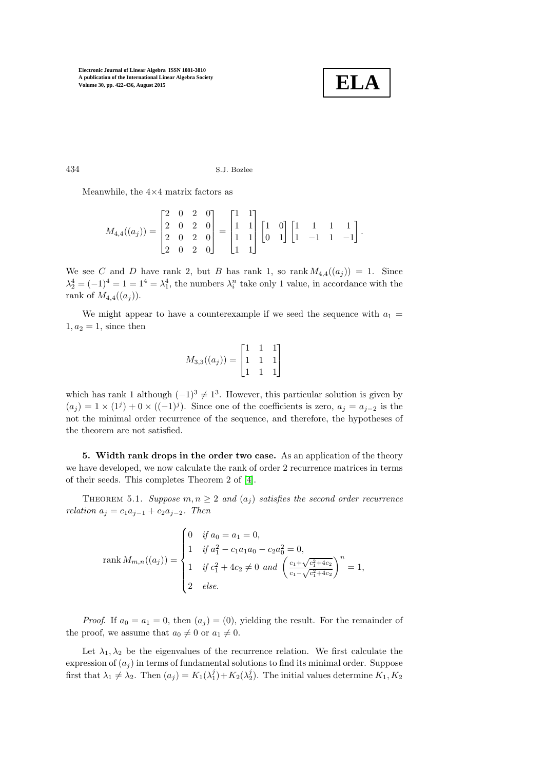

434 S.J. Bozlee

Meanwhile, the  $4\times4$  matrix factors as

$$
M_{4,4}((a_j)) = \begin{bmatrix} 2 & 0 & 2 & 0 \\ 2 & 0 & 2 & 0 \\ 2 & 0 & 2 & 0 \\ 2 & 0 & 2 & 0 \end{bmatrix} = \begin{bmatrix} 1 & 1 \\ 1 & 1 \\ 1 & 1 \\ 1 & 1 \end{bmatrix} \begin{bmatrix} 1 & 0 \\ 0 & 1 \end{bmatrix} \begin{bmatrix} 1 & 1 & 1 & 1 \\ 1 & -1 & 1 & -1 \end{bmatrix}.
$$

We see C and D have rank 2, but B has rank 1, so rank  $M_{4,4}((a_i)) = 1$ . Since  $\lambda_2^4 = (-1)^4 = 1 = 1^4 = \lambda_1^4$ , the numbers  $\lambda_i^n$  take only 1 value, in accordance with the rank of  $M_{4,4}((a_i))$ .

We might appear to have a counterexample if we seed the sequence with  $a_1 =$  $1, a_2 = 1$ , since then

$$
M_{3,3}((a_j)) = \begin{bmatrix} 1 & 1 & 1 \\ 1 & 1 & 1 \\ 1 & 1 & 1 \end{bmatrix}
$$

which has rank 1 although  $(-1)^3 \neq 1^3$ . However, this particular solution is given by  $(a_j) = 1 \times (1^j) + 0 \times ((-1)^j)$ . Since one of the coefficients is zero,  $a_j = a_{j-2}$  is the not the minimal order recurrence of the sequence, and therefore, the hypotheses of the theorem are not satisfied.

5. Width rank drops in the order two case. As an application of the theory we have developed, we now calculate the rank of order 2 recurrence matrices in terms of their seeds. This completes Theorem 2 of [\[4\]](#page-14-0).

THEOREM 5.1. Suppose  $m, n \geq 2$  and  $(a_i)$  satisfies the second order recurrence relation  $a_j = c_1 a_{j-1} + c_2 a_{j-2}$ . Then

$$
\text{rank } M_{m,n}((a_j)) = \begin{cases} 0 & \text{if } a_0 = a_1 = 0, \\ 1 & \text{if } a_1^2 - c_1 a_1 a_0 - c_2 a_0^2 = 0, \\ 1 & \text{if } c_1^2 + 4c_2 \neq 0 \text{ and } \left(\frac{c_1 + \sqrt{c_1^2 + 4c_2}}{c_1 - \sqrt{c_1^2 + 4c_2}}\right)^n = 1, \\ 2 & \text{else.} \end{cases}
$$

*Proof.* If  $a_0 = a_1 = 0$ , then  $(a_j) = (0)$ , yielding the result. For the remainder of the proof, we assume that  $a_0 \neq 0$  or  $a_1 \neq 0$ .

Let  $\lambda_1, \lambda_2$  be the eigenvalues of the recurrence relation. We first calculate the expression of  $(a_j)$  in terms of fundamental solutions to find its minimal order. Suppose first that  $\lambda_1 \neq \lambda_2$ . Then  $(a_j) = K_1(\lambda_1^j) + K_2(\lambda_2^j)$ . The initial values determine  $K_1, K_2$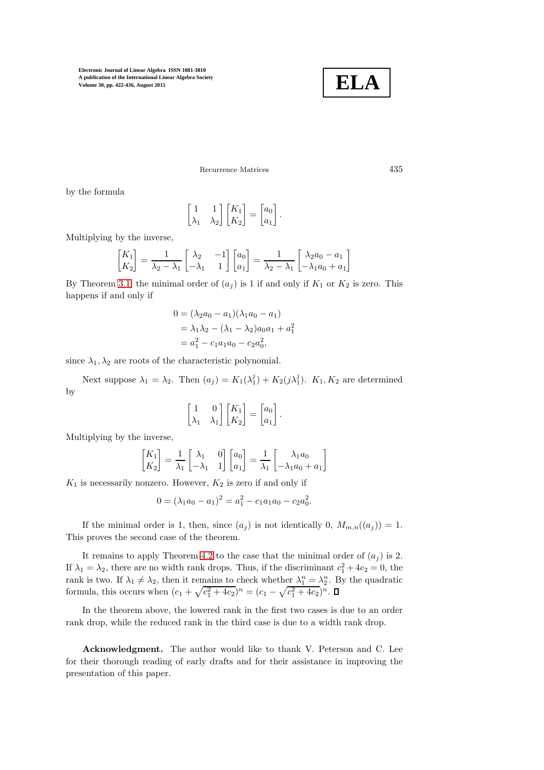

Recurrence Matrices 435

by the formula

$$
\begin{bmatrix} 1 & 1 \ \lambda_1 & \lambda_2 \end{bmatrix} \begin{bmatrix} K_1 \\ K_2 \end{bmatrix} = \begin{bmatrix} a_0 \\ a_1 \end{bmatrix}.
$$

Multiplying by the inverse,

$$
\begin{bmatrix} K_1 \\ K_2 \end{bmatrix} = \frac{1}{\lambda_2 - \lambda_1} \begin{bmatrix} \lambda_2 & -1 \\ -\lambda_1 & 1 \end{bmatrix} \begin{bmatrix} a_0 \\ a_1 \end{bmatrix} = \frac{1}{\lambda_2 - \lambda_1} \begin{bmatrix} \lambda_2 a_0 - a_1 \\ -\lambda_1 a_0 + a_1 \end{bmatrix}
$$

By Theorem [3.1,](#page-5-5) the minimal order of  $(a_j)$  is 1 if and only if  $K_1$  or  $K_2$  is zero. This happens if and only if

$$
0 = (\lambda_2 a_0 - a_1)(\lambda_1 a_0 - a_1)
$$
  
=  $\lambda_1 \lambda_2 - (\lambda_1 - \lambda_2) a_0 a_1 + a_1^2$   
=  $a_1^2 - c_1 a_1 a_0 - c_2 a_0^2$ ,

since  $\lambda_1, \lambda_2$  are roots of the characteristic polynomial.

Next suppose  $\lambda_1 = \lambda_2$ . Then  $(a_j) = K_1(\lambda_1^j) + K_2(j\lambda_1^j)$ .  $K_1, K_2$  are determined by

$$
\begin{bmatrix} 1 & 0 \ \lambda_1 & \lambda_1 \end{bmatrix} \begin{bmatrix} K_1 \\ K_2 \end{bmatrix} = \begin{bmatrix} a_0 \\ a_1 \end{bmatrix}.
$$

Multiplying by the inverse,

$$
\begin{bmatrix} K_1 \\ K_2 \end{bmatrix} = \frac{1}{\lambda_1} \begin{bmatrix} \lambda_1 & 0 \\ -\lambda_1 & 1 \end{bmatrix} \begin{bmatrix} a_0 \\ a_1 \end{bmatrix} = \frac{1}{\lambda_1} \begin{bmatrix} \lambda_1 a_0 \\ -\lambda_1 a_0 + a_1 \end{bmatrix}
$$

 $K_1$  is necessarily nonzero. However,  $K_2$  is zero if and only if

$$
0 = (\lambda_1 a_0 - a_1)^2 = a_1^2 - c_1 a_1 a_0 - c_2 a_0^2.
$$

If the minimal order is 1, then, since  $(a_i)$  is not identically 0,  $M_{m,n}((a_i)) = 1$ . This proves the second case of the theorem.

It remains to apply Theorem [4.2](#page-8-0) to the case that the minimal order of  $(a_i)$  is 2. If  $\lambda_1 = \lambda_2$ , there are no width rank drops. Thus, if the discriminant  $c_1^2 + 4c_2 = 0$ , the rank is two. If  $\lambda_1 \neq \lambda_2$ , then it remains to check whether  $\lambda_1^n = \lambda_2^n$ . By the quadratic formula, this occurs when  $(c_1 + \sqrt{c_1^2 + 4c_2})^n = (c_1 - \sqrt{c_1^2 + 4c_2})^n$ .

In the theorem above, the lowered rank in the first two cases is due to an order rank drop, while the reduced rank in the third case is due to a width rank drop.

Acknowledgment. The author would like to thank V. Peterson and C. Lee for their thorough reading of early drafts and for their assistance in improving the presentation of this paper.